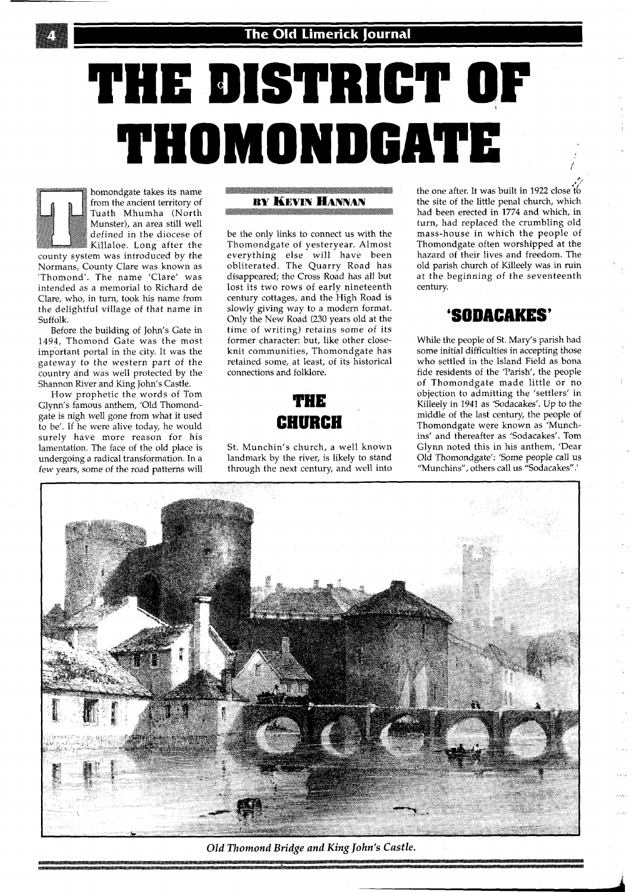

# **THE DISTRICT OF**  THOMONDGATE

homondgate takes its name from the ancient territory of Tuath Mhumha (North Munster), an area still well defined in the diocese of Killaloe. Long after the county system was introduced by the Normans, County Clare was known as 'Thomond'. The name 'Clare' was intended as a memorial to Richard de Clare, who, in turn, took his name from the delightful village of that name in Suffolk.

Before the building of John's Gate in **1494,** Thomond Gate was the most important portal in the city. It was the gateway to the western part of the country and was well protected by the Shannon River and King John's Castle.

How prophetic the words of Tom Glynn's famous anthem, 'Old Thomondgate is nigh well gone from what it used to be'. If he were alive today, he would surely have more reason for his lamentation. The face of the old place is undergoing a radical transformation. In a few years, some of the road patterns will

#### **BY KEVIN HANNAN**

be the only links to connect us with the Thomondgate of yesteryear. Almost everything else will have been obliterated. The Quarry Road has disappeared; the Cross Road has all but lost its two rows of early nineteenth century cottages, and the High Road is slowly giving way to a modern format. Only the New Road **(230** years old at the time of writing) retains some of its former character: but, like other closeknit communities, Thomondgate has retained some, at least, of its historical connections and folklore.



St. Munchin's church, a well known landmark by the river, is likely to stand through the next century, and well into the one after. It was built in **1922** close to the site of the little penal church, which had been erected in **1774** and which, in turn, had replaced the crumbling old mass-house in which the people of Thomondgate often worshipped at the hazard of their lives and freedom. The old parish church of Killeely was in ruin at the beginning of the seventeenth century.

#### **'SODACAKES'**

While the people of St. Mary's parish had some initial difficulties in accepting those who settled in the Island Field as bona fide residents of the 'Parish', the people of Thomondgate made little or no objection to admitting the 'settlers' in Killeely in **1941** as 'Sodacakes'. Up to the middle of the last century, the people of Thomondgate were known as 'Munchins' and thereafter as 'Sodacakes'. Tom Glynn noted this in his anthem, 'Dear Old Thomondgate': 'Some people call us "Munchins", others call us "Sodacakes".'



**Old Thomond Bridge and KingJohn's Castle.**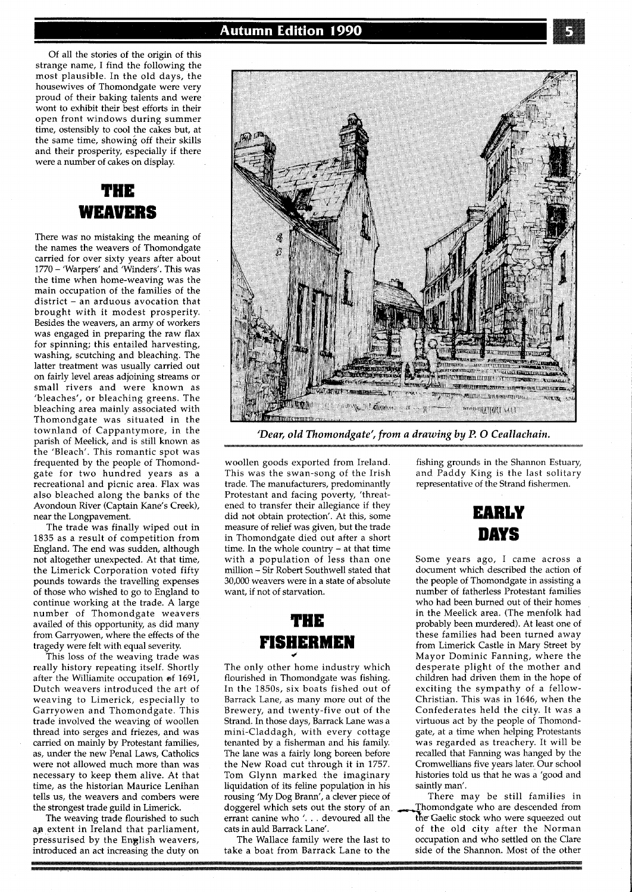Of all the stories of the origin of this strange name, I find the following the most plausible. In the old days, the housewives of Thomondgate were very proud of their baking talents and were wont to exhibit their best efforts in their open front windows during summer time, ostensibly to cool the cakes but, at the same time, showing off their skills and their prosperity, especially if there were a number of cakes on display.

#### THE **WEAVERS**

There was no mistaking the meaning of the names the weavers of Thomondgate carried for over sixty years after about <sup>1770</sup>- 'Warpers' and 'Winders'. This was the time when home-weaving was the main occupation of the families of the district - an arduous avocation that brought with it modest prosperity. Besides the weavers, an army of workers was engaged in preparing the raw flax for spinning; this entailed harvesting, washing, scutching and bleaching. The latter treatment was usually carried out on fairly level areas adjoining streams or small rivers and were known as 'bleaches', or bleaching greens. The bleaching area mainly associated with Thomondgate was situated in the townland of Cappantymore, in the parish of Meelick, and is still known as the 'Bleach'. This romantic spot was frequented by the people of Thomondgate for two hundred years as a recreational and picnic area. Flax was also bleached along the banks of the Avondoun River (Captain Kane's Creek), near the Longpavement.

The trade was finally wiped out in 1835 as a result of competition from England. The end was sudden, although not altogether unexpected. At that time, the Limerick Corporation voted fifty pounds towards the travelling expenses of those who wished to go to England to continue working at the trade. A large number of Thomondgate weavers availed of this opportunity, as did many from Garryowen, where the effects of the tragedy were felt with equal severity.

This loss of the weaving trade was really history repeating itself. Shortly after the Williamite occupation of 1691 Dutch weavers introduced the art of weaving to Limerick, especially to Garryowen and Thomondgate. This trade involved the weaving of woollen thread into serges and friezes, and was carried on mainly by Protestant families, as, under the new Penal Laws, Catholics were not allowed much more than was necessary to keep them alive. At that time, as the historian Maurice Lenihan tells us, the weavers and combers were the strongest trade guild in Limerick.

The weaving trade flourished to such ap extent in Ireland that parliament, pressurised by the English weavers, introduced an act increasing the duty on



*'Dear, old Thomondgate', from a drawing by P.* **0** *Ceallachain.* 

woollen goods exported from Ireland. This was the swan-song of the Irish trade. The manufacturers, predominantly Protestant and facing poverty, 'threatened to transfer their allegiance if they did not obtain protection'. At this, some measure of relief was given, but the trade in Thomondgate died out after a short time. In the whole country - at that time with a population of less than one million - Sir Robert Southwell stated that 30,000 weavers were in a state of absolute want, if not of starvation.

#### THE **FISHERMEN 4**

The only other home industry which flourished in Thomondgate was fishing. In the 1850s, six boats fished out of Barrack Lane, as many more out of the Brewery, and twenty-five out of the Strand. In those days, Barrack Lane was a mini-Claddagh, with every cottage tenanted by a fisherman and his family. The lane was a fairly long boreen before the New Road cut through it in 1757. Tom Glynn marked the imaginary liquidation of its feline population in his rousing 'My Dog Brann', a clever piece of doggerel which sets out the story of an errant canine who  $\dot{\ }$ ... devoured all the errant canine who '... devoured all the the Gaelic stock who were squeezed out cats in auld Barrack Lane'.  $\qquad \qquad$  of the old city after the Norman

fishing grounds in the Shannon Estuary, and Paddy King is the last solitary representative of the Strand fishermen.



Some years ago, I came across a document which described the action of the people of Thomondgate in assisting a number of fatherless Protestant families who had been burned out of their homes in the Meelick area. (The menfolk had probably been murdered). At least one of these families had been turned away from Limerick Castle in Mary Street by Mayor Dominic Fanning, where the desperate plight of the mother and children had driven them in the hope of exciting the sympathy of a fellow-Christian. This was in 1646, when the Confederates held the city. It was a virtuous act by the people of Thomondgate, at a time when helping Protestants was regarded as treachery. It will be recalled that Fanning was hanged by the Cromwellians five years later. Our school histories told us that he was a 'good and saintly man'.

There may be still families in<br>Thomondgate who are descended from s in auld Barrack Lane'.  $\qquad \qquad$  of the old city after the Norman The Wallace family were the last to  $\qquad \qquad$  occupation and who settled on the Clare occupation and who settled on the Clare take a boat from Barrack Lane to the side of the Shannon. Most of the other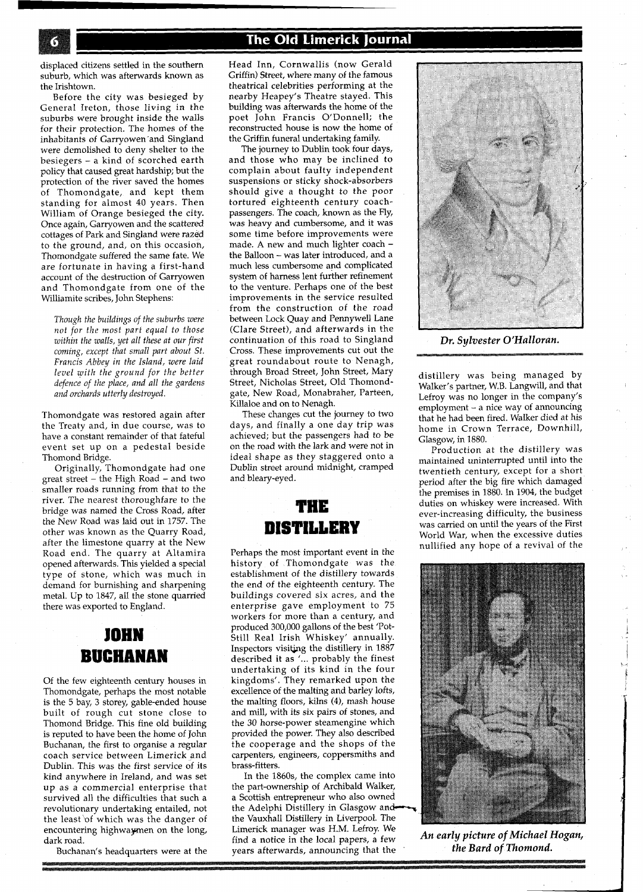displaced citizens settled in the southern suburb, which was afterwards known as the Irishtown.

Before the city was besieged by General Ireton, those living in the suburbs were brought inside the walls for their protection. The homes of the inhabitants of Garryowen'and Singland were demolished to deny shelter to the besiegers - a kind of scorched earth policy that caused great hardship; but the protection of the river saved the homes of Thomondgate, and kept them standing for almost 40 years. Then William of Orange besieged the city. Once again, Garryowen and the scattered cottages of Park and Singland were razed to the ground, and, on this occasion, Thomondgate suffered the same fate. We are fortunate in having a first-hand account of the destruction of Garryowen and Thomondgate from one of the Williamite scribes, John Stephens:

*Though the buildings of the suburbs were not for the most part equal to those within the walls, yet all these at our first coming, except that small part about St. Francis Abbey in the Island, were laid level with the ground for the better defence of the place, and all the gardens and orchards utterly destroyed.* 

Thomondgate was restored again after the Treaty and, in due course, was to have a constant remainder of that fateful event set up on a pedestal beside Thomond Bridge.

Originally, Thomondgate had one great street - the High Road - and two smaller roads running from that to the river. The nearest thoroughfare to the bridge was named the Cross Road, after the New Road was laid out in 1757. The other was known as the Quarry Road, after the limestone quarry at the New Road end. The quarry at Altamira opened afterwards. This yielded a special type of stone, which was much in demand for burnishing and sharpening metal. Up to 1847, all the stone quarried there was exported to England.

### JOHN **BUCHANAN**

Of the few eighteenth century houses in Thomondgate, perhaps the most notable is the 5 bay, **3** storey, gable-ended house built of rough cut stone close to Thomond Bridge. This fine old building is reputed to have been the home of John Buchanan, the first to organise a regular coach service between Limerick and Dublin. This was the first service of its kind anywhere in Ireland, and was set up as a commercial enterprise that survived all the difficulties that such a revolutionary undertaking entailed, not the least 'of which was the danger of encountering highwaymen on the long, dark road.

Buchanan's headquarters were at the

Head Inn, Cornwallis (now Gerald Griffin) Street, where many of the famous theatrical celebrities performing at the nearby Heapey's Theatre stayed. This building was afterwards the home of the poet John Francis O'Donnell; the reconstructed house is now the home of the Griffin funeral undertaking family.

The journey to Dublin took four days, and those who may be inclined to complain about faulty independent suspensions or sticky shock-absorbers should give a thought to the poor tortured eighteenth century coachpassengers. The coach, known as the Fly, was heavy and cumbersome, and it was some time before improvements were made. A new and much lighter coach the Balloon - was later introduced, and a much less cumbersome and complicated system of harness lent further refinement to the venture. Perhaps one of the best improvements in the service resulted from the construction of the road between Lock Quay and Pennywell Lane (Clare Street), and afterwards in the continuation of this road to Singland Cross. These improvements cut out the great roundabout route to Nenagh, through Broad Street, John Street, Mary Street, Nicholas Street, Old Thomondgate, New Road, Monabraher, Parteen, Killaloe and on to Nenagh.

These changes cut the journey to two days, and finally a one day trip was achieved; but the passengers had to be on the road with the lark and were not in ideal shape as they staggered onto a Dublin street around midnight, cramped and bleary-eyed.



Perhaps the most important event in the history of Thomondgate was the establishment of the distillery towards the end of the eighteenth century. The buildings covered six acres, and the enterprise gave employment to 75 workers for more than a century, and produced 300,000 gallons of the best 'Pot-Still Real Irish Whiskey' annually. Inspectors visitjng the distillery in 1887 described it as **l...** probably the finest undertaking of its kind in the four kingdoms'. They remarked upon the excellence of the malting and barley lofts, the malting floors, kilns (4), mash house and mill, with its six pairs of stones, and the 30 horse-power steamengine which provided the power. They also described the cooperage and the shops of the carpenters, engineers, coppersmiths and brass-fitters.

In the 1860s, the complex came into the part-ownership of Archibald Walker, a Scottish entrepreneur who also owned the Adelphi Distillery in Glasgow andthe Vauxhall Distillery in Liverpool. The Limerick manager was H.M. Lefroy. We find a notice in the local papers, a few years afterwards, announcing that the



*Dr. Sylvester O'Halloran.* 

distillery was being managed by Walker's partner, W.B. Langwill, and that Lefroy was no longer in the company's employment - a nice way of announcing that he had been fired. Walker died at his home in Crown Terrace, Downhill, Glasgow, in 1880.

Production at the distillery was maintained unintermpted until into the twentieth century, except for a short period after the big fire which damaged the premises in 1880. In 1904, the budget duties on whiskey were increased. With ever-increasing difficulty, the business was carried on until the years of the First World War, when the excessive duties nullified any hope of a revival of the



*An early picture of Michael Hogan, the Bard of Thomond.*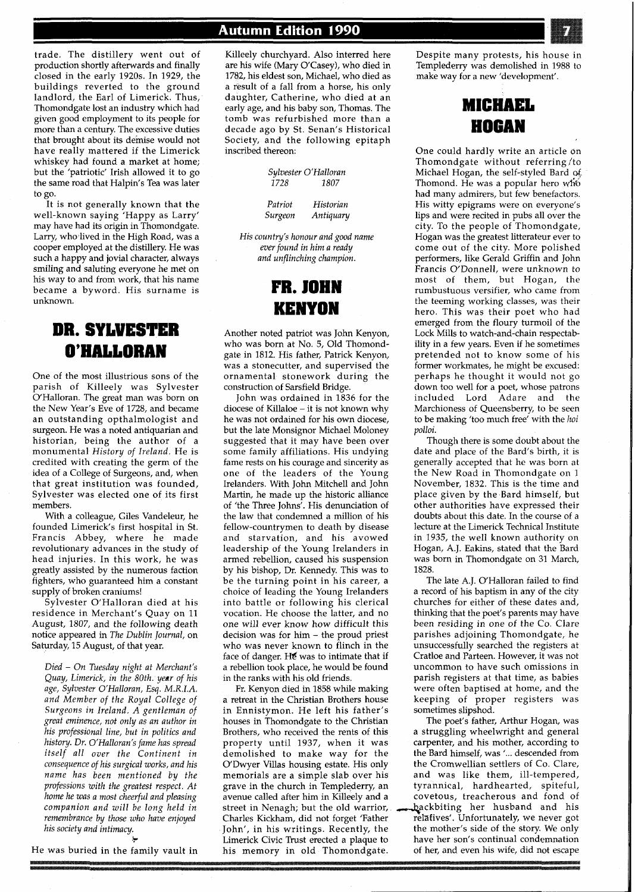trade. The distillery went out of production shortly afterwards and finally closed in the early 1920s. In 1929, the buildings reverted to the ground landlord, the Earl of Limerick. Thus, Thomondgate lost an industry which had given good employment to its people for more than a century. The excessive duties that brought about its demise would not have really mattered if the Limerick whiskey had found a market at home; but the 'patriotic' Irish allowed it to go the same road that Halpin's Tea was later to go.

It is not generally known that the well-known saying 'Happy as Larry' may have had its origin in Thomondgate. Larry, who lived in the High Road, was a cooper employed at the distillery. He was such a happy and jovial character, always smiling and saluting everyone he met on his way to and from work, that his name became a byword. His surname is unknown.

#### **DR. SYWESTER**  O'HALLORAN

One of the most illustrious sons of the parish of Killeely was Sylvester O'Halloran. The great man was born on the New Year's Eve of 1728, and became an outstanding opthalmologist and surgeon. He was a noted antiquarian and historian, being the author of a monumental *History of Ireland.* He is credited with creating the germ of the idea of a College of Surgeons, and, when that great institution was founded, Sylvester was elected one of its first members.

With a colleague, Giles Vandeleur, he founded Limerick's first hospital in St. Francis Abbey, where he made revolutionary advances in the study of head injuries. In this work, he was greatly assisted by the numerous faction fighters, who guaranteed him a constant supply of broken craniums!

Sylvester O'Halloran died at his residence in Merchant's Quay on 11 August, 1807, and the following death notice appeared in *The Dublin Journal,* on Saturday, *15* August, of that year.

*Died* - *On Tuesday night at Merchant's Quay, Limerick, in the 80th. year of his age, Sylvester O'Halloran, Esq. M.R.I.A. and Member of the Royal College of Surgeons in Ireland. A gentleman of great eminence, not only as an author in his professional line, but in politics and history. Dr. O'Halloran's fame has spread itself all over the Continent in consequence of his surgical works, and his name has been mentioned by the professions with the greatest respect. At home he was a most cheerful and pleasing companion and will be long held in remembrance by those who have enjoyed his society and intimacy.* 

He was buried in the family vault in

**k** 

#### **Autumn Edition 1990**

Killeely churchyard. Also interred here are his wife (Mary O'Casey), who died in 1782, his eldest son, Michael, who died as a result of a fall from a horse, his only daughter, Catherine, who died at an early age, and his baby son, Thomas. The tomb was refurbished more than a decade ago by St. Senan's Historical Society, and the following epitaph inscribed thereon:

|      | Sylvester O'Halloran |
|------|----------------------|
| 1728 | 1807                 |

*Patriot Historian Surgeon Antiquary* 

*His country's honour and good name ever found in him a ready and unflinching champion.* 

> **FR. JOHN**  KENYON

Another noted patriot was John Kenyon, who was born at No. 5, Old Thomondgate in 1812. His father, Patrick Kenyon, was a stonecutter, and supervised the ornamental stonework during the construction of Sarsfield Bridge.

John was ordained in 1836 for the diocese of Killaloe - it is not known why he was not ordained for his own diocese, but the late Monsignor Michael Moloney suggested that it may have been over some family affiliations. His undying fame rests on his courage and sincerity as one of the leaders of the Young Irelanders. With John Mitchell and John Martin, he made up the historic alliance of 'the Three Johns'. His denunciation of the law that condemned a million of his fellow-countrymen to death by disease and starvation, and his avowed leadership of the Young Irelanders in armed rebellion, caused his suspension by his bishop, Dr. Kennedy. This was to be the turning point in his career, a choice of leading the Young Irelanders into battle or following his clerical vocation. He choose the latter, and no one will ever know how difficult this decision was for him - the proud priest who was never known to flinch in the face of danger. He was to intimate that if a rebellion took place, he would be found in the ranks with his old friends.

Fr. Kenyon died in 1858 while making a retreat in the Christian Brothers house in Ennistymon. He left his father's houses in Thomondgate to the Christian Brothers, who received the rents of this property until 1937, when it was demolished to make way for the O'Dwyer Villas housing estate. His only memorials are a simple slab over his grave in the church in Templederry, an avenue called after him in Killeely and a street in Nenagh; but the old warrior, backbiting her husband and his Charles Kickham, did not forget 'Father relatives'. Unfortunately, we never got John', in his writings. Recently, the the mother's side of the story. We only Limerick Civic Trust erected a plaque to have her son's continual condemnation Limerick Civic Trust erected a plaque to have her son's continual condemnation his memory in old Thomondgate. of her, and even his wife, did not escape his memory in old Thomondgate.

Despite many protests, his house in Templederry was demolished in 1988 to make way for a new 'development'.

## **MICHAEL** HOGAN

One could hardly write an article on Thomondgate without referring /to Michael Hogan, the self-styled Bard Thomond. He was a popular hero who had many admirers, but few benefactors. His witty epigrams were on everyone's lips and were recited in pubs all over the city. To the people of Thomondgate, Hogan was the greatest litterateur ever to come out of the city. More polished performers, like Gerald Griffin and John Francis O'Donnell, were unknown to most of them, but Hogan, the rumbustuous versifier, who came from the teeming working classes, was their hero. This was their poet who had emerged from the floury turmoil of the Lock Mills to watch-and-chain respectability in a few years. Even if he sometimes pretended not to know some of his former workmates, he might be excused: perhaps he thought it would not go down too well for a poet, whose patrons included Lord Adare and the Marchioness of Queensberry, to be seen to be making 'too much free' with the *hoi polloi.* 

Though there is some doubt about the date and place of the Bard's birth, it is generally accepted that he was born at the New Road in Thomondgate on 1 November, 1832. This is the time and place given by the Bard himself, but other authorities have expressed their doubts about this date. In the course of a lecture at the Limerick Technical Institute in 1935, the well known authority on Hogan, A.J. Eakins, stated that the Bard was born in Thomondgate on 31 March, 1828.

The late A.J. O'Halloran failed to find a record of his baptism in any of the city churches for either of these dates and, thinking that the poet's parents may have been residing in one of the Co. Clare parishes adjoining Thomondgate, he unsuccessfully searched the registers at Cratloe and Parteen. However, it was not uncommon to have such omissions in parish registers at that time, as babies were often baptised at home, and the keeping of proper registers was sometimes slipshod.

The poet's father, Arthur Hogan, was a struggling wheelwright and general carpenter, and his mother, according to the Bard himself, was '... descended from the Cromwellian settlers of Co. Clare, and was like them, ill-tempered, tyrannical, hardhearted, spiteful, covetous. treacherous and fond of relatives'. Unfortunately, we never got<br>the mother's side of the story. We only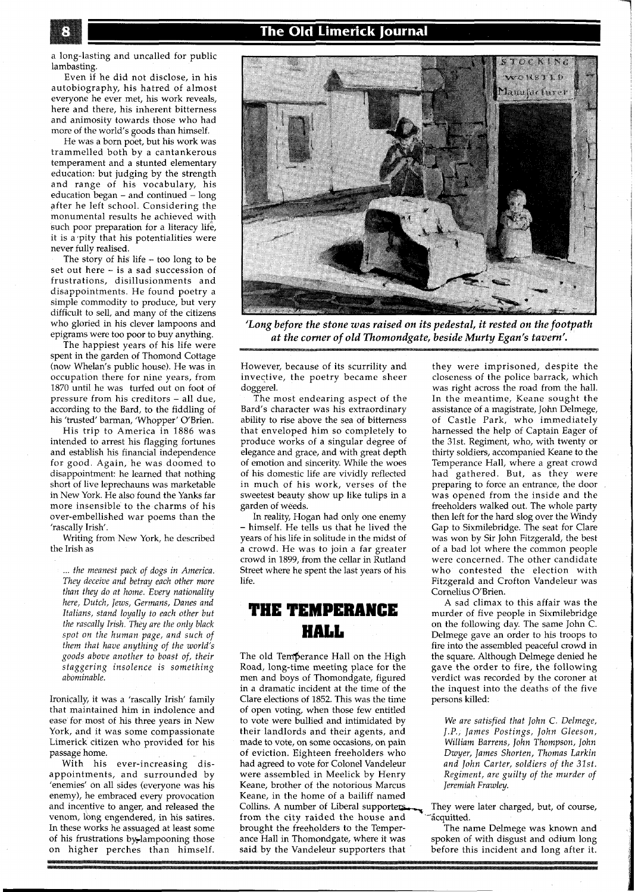a long-lasting and uncalled for public lambasting.

Even if he did not disclose, in his autobiography, his hatred of almost everyone he ever met, his work reveals, here and there, his inherent bitterness and animosity towards those who had more of the world's goods than himself.

He was a born poet, but his work was trammelled both by a cantankerous temperament and a stunted elementary education: but judging by the strength and range of his vocabulary, his education began  $-$  and continued  $-$  long after he left school. Considering the monumental results he achieved with such poor preparation for a literacy life, it is a pity that his potentialities were never fully realised.

The story of his life - too long to be set out here - is a sad succession of frustrations, disillusionments and disappointments. He found poetry a simple commodity to produce, but very difficult to sell, and many of the citizens who gloried in his clever lampoons and epigrams were too poor to buy anything.

The happiest years of his life were spent in the garden of Thomond Cottage (now Whelan's public house). He was in occupation there for nine years, from 1870 until he was turfed out on foot of pressure from his creditors - all due, according to the Bard, to the fiddling of his 'trusted' barman, 'Whopper' O'Brien.

His trip to America in 1886 was intended to arrest his flagging fortunes and establish his financial independence for good. Again, he was doomed to disappointment: he learned that nothing short of live leprechauns was marketable in New York. He also found the Yanks far more insensible to the charms of his over-embellished war poems than the 'rascally Irish'.

Writing from New York, he described the Irish as

... *the meanest pack of dogs in America. They deceive and betray each other more than they do at home. Every nationality here, Dutch, Jews, Germans, Danes and Italians, stand loyally to each other but the rascally Insh. They are the only black spot on the human page, and such of them that have anything of the world's goods above another to boast of, their staggering insolence is something abominable.* 

Ironically, it was a 'rascally Irish' family that maintained him in indolence and ease for most of his three years in New York, and it was some compassionate Limerick citizen who provided for his passage home.

With his ever-increasing disappointments, and surrounded by 'enemies' on all sides (everyone was his enemy), he embraced every provocation and incentive to anger, and released the venom, long engendered, in his satires. In these works he assuaged at least some of his frustrations by lampooning those on higher perches than himself.



*at the corner of old Thomondgate, beside Murty Egan's tavern'.* 

However, because of its scurrility and invective, the poetry became sheer doggerel.

The most endearing aspect of the Bard's character was his extraordinary ability to rise above the sea of bitterness that enveloped him so completely to produce works of a singular degree of elegance and grace, and with great depth of emotion and sincerity. While the woes of his domestic life are vividly reflected in much of his work, verses of the sweetest beauty show up like tulips in a garden of weeds.

In reality, Hogan had only one enemy himself. He tells us that he lived the years of his life in solitude in the midst of a crowd. He was to join a far greater crowd in 1899, from the cellar in Rutland Street where he spent the last years of his life.

#### **THE TEMPERANCE HALL**

The old Temperance Hall on the High Road, long-time meeting place for the men and boys of Thomondgate, figured in a dramatic incident at the time of the Clare elections of 1852. This was the time of open voting, when those few entitled to vote were bullied and intimidated by their landlords and their agents, and made to vote, on some occasions, on pain of eviction. Eighteen freeholders who had agreed to vote for Colonel Vandeleur were assembled in Meelick by Henry Keane, brother of the notorious Marcus Keane, in the home of a bailiff named<br>Collins. A number of Liberal supporters from the city raided the house and  $\tilde{\phantom{a}}$  -acquitted.<br>brought the freeholders to the Temper- The na brought the freeholders to the Temper-<br>ance Hall in Thomondgate, where it was spoken of with disgust and odium long said by the Vandeleur supporters that before this incident and long after it.

they were imprisoned, despite the closeness of the police barrack, which was right across the road from the hall. In the meantime, Keane sought the assistance of a magistrate, John Delmege, of Castle Park, who immediately harnessed the help of Captain Eager of the 31st. Regiment, who, with twenty or thirty soldiers, accompanied Keane to the Temperance Hall, where a great crowd had gathered. But, as they were preparing to force an entrance, the door was opened from the inside and the freeholders walked out. The whole party then left for the hard slog over the Windy Gap to Sixmilebridge. The seat for Clare was won by Sir John Fitzgerald, the best of a bad lot where the common people were concerned. The other candidate who contested the election with Fitzgerald and Crofton Vandeleur was Cornelius O'Brien.

an sa mga siy

A sad climax to this affair was the murder of five people in Sixmilebridge on the following day. The same John C. Delmege gave an order to his troops to fire into the assembled peaceful crowd in the square. Although Delmege denied he gave the order to fire, the following verdict was recorded by the coroner at the inquest into the deaths of the five persons killed:

*We are satisfied that John C. Delmege, J.P., James Postings, John Gleeson, William Barrens, John Thompson, John Dwyer, James Shorten, Thomas Larkin and John Carter, soldiers of the 31st. Regiment, are guilty of the murder of Jeremiah Frawley.* 

They were later charged, but, of course,

spoken of with disgust and odium long